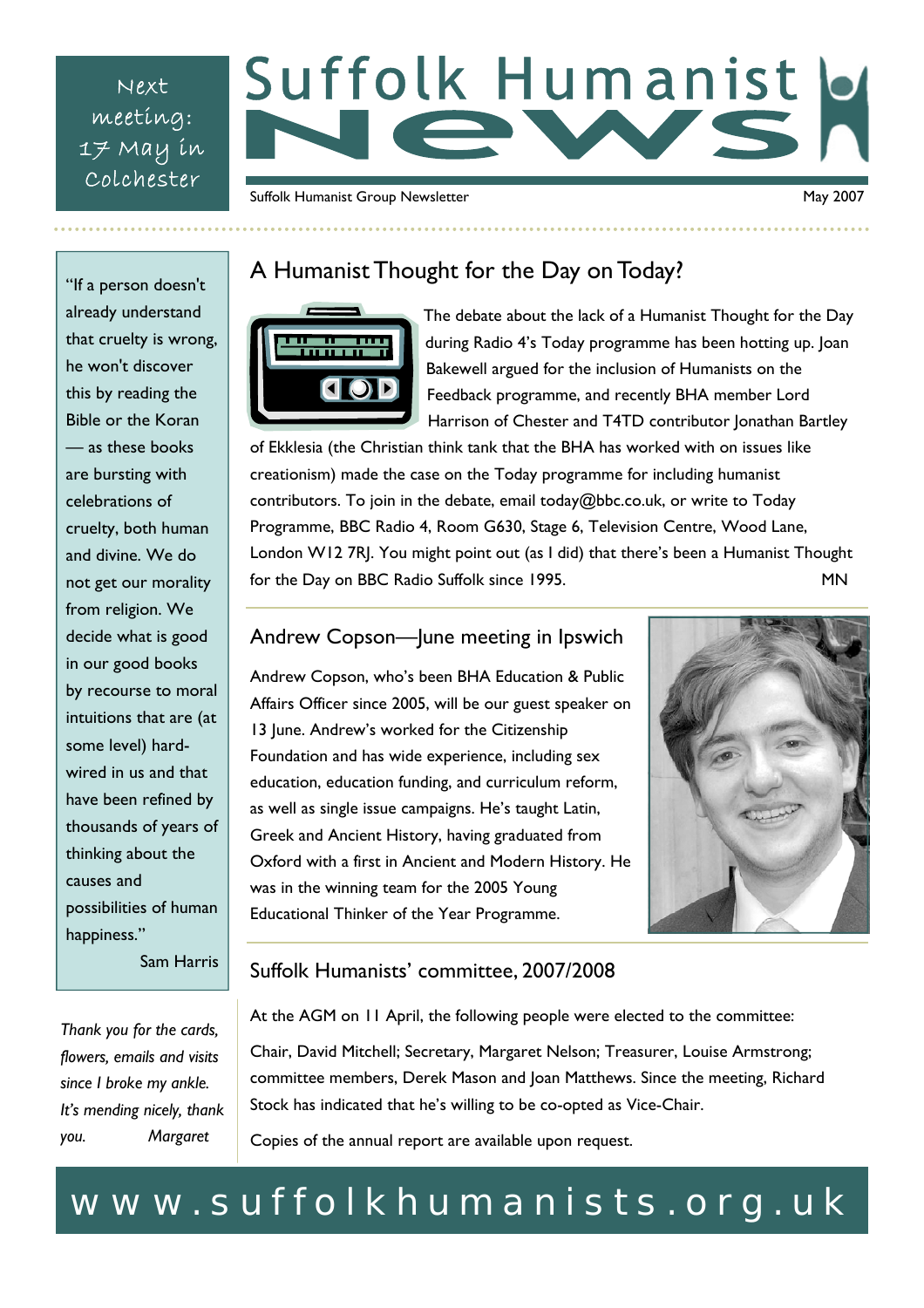Next meeting: 17 May in Colchester

# Suffolk Humanist

Suffolk Humanist Group Newsletter May 2007

"If a person doesn't already understand that cruelty is wrong, he won't discover this by reading the Bible or the Koran — as these books are bursting with celebrations of cruelty, both human and divine. We do not get our morality from religion. We decide what is good in our good books by recourse to moral intuitions that are (at some level) hardwired in us and that have been refined by thousands of years of thinking about the causes and possibilities of human happiness."

Sam Harris

## A Humanist Thought for the Day on Today?



The debate about the lack of a Humanist Thought for the Day during Radio 4's Today programme has been hotting up. Joan Bakewell argued for the inclusion of Humanists on the Feedback programme, and recently BHA member Lord Harrison of Chester and T4TD contributor Jonathan Bartley

of Ekklesia (the Christian think tank that the BHA has worked with on issues like creationism) made the case on the Today programme for including humanist contributors. To join in the debate, email today@bbc.co.uk, or write to Today Programme, BBC Radio 4, Room G630, Stage 6, Television Centre, Wood Lane, London W12 7RJ. You might point out (as I did) that there's been a Humanist Thought for the Day on BBC Radio Suffolk since 1995.

#### Andrew Copson—June meeting in Ipswich

Andrew Copson, who's been BHA Education & Public Affairs Officer since 2005, will be our guest speaker on 13 June. Andrew's worked for the Citizenship Foundation and has wide experience, including sex education, education funding, and curriculum reform, as well as single issue campaigns. He's taught Latin, Greek and Ancient History, having graduated from Oxford with a first in Ancient and Modern History. He was in the winning team for the 2005 Young Educational Thinker of the Year Programme.



#### Suffolk Humanists' committee, 2007/2008

At the AGM on 11 April, the following people were elected to the committee:

Chair, David Mitchell; Secretary, Margaret Nelson; Treasurer, Louise Armstrong; committee members, Derek Mason and Joan Matthews. Since the meeting, Richard Stock has indicated that he's willing to be co-opted as Vice-Chair.

Copies of the annual report are available upon request.

# www.suffolkhumanists.org.uk

*Thank you for the cards, flowers, emails and visits since I broke my ankle. It's mending nicely, thank you. Margaret*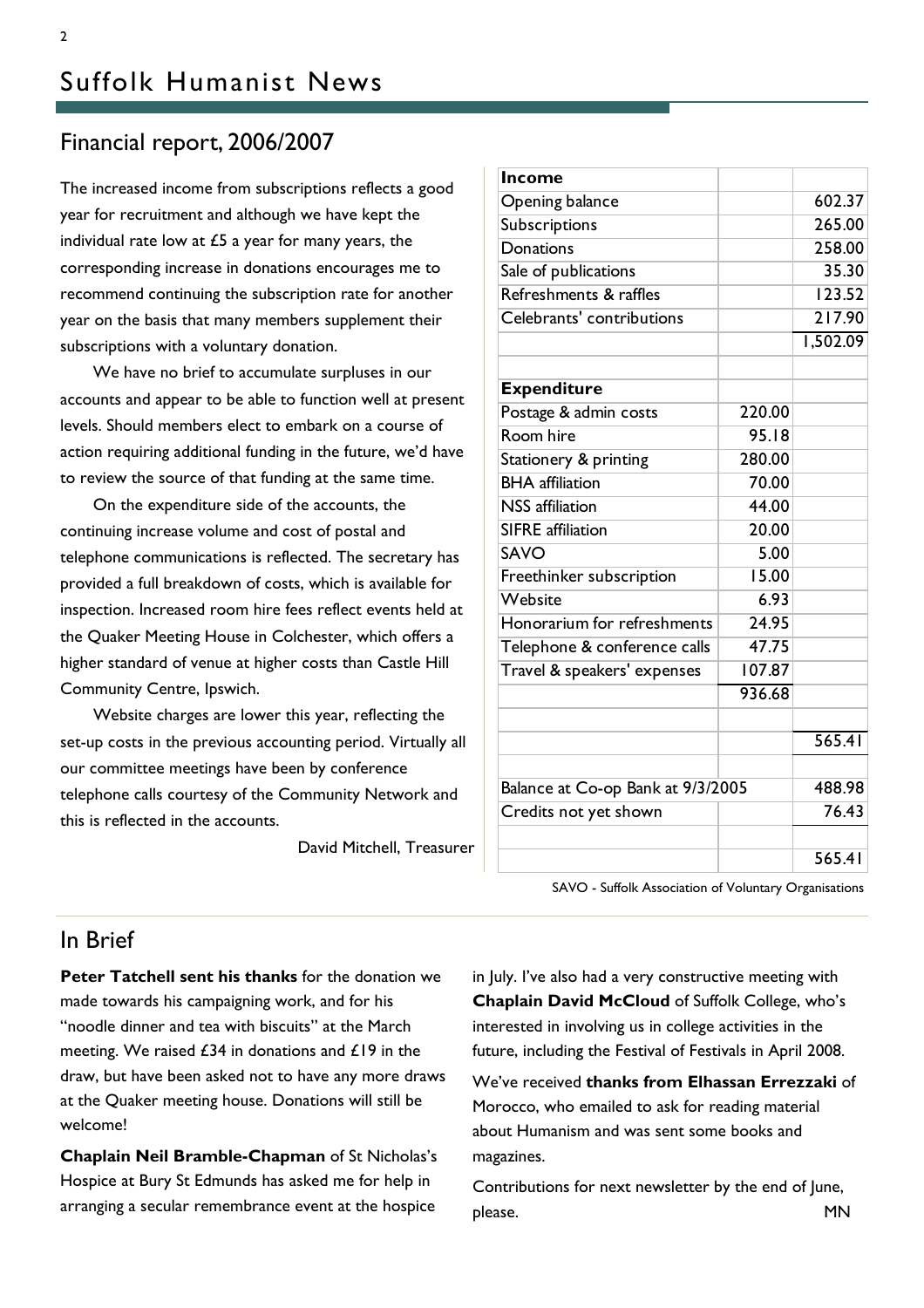#### Financial report, 2006/2007

The increased income from subscriptions reflects a good year for recruitment and although we have kept the individual rate low at  $£5$  a year for many years, the corresponding increase in donations encourages me to recommend continuing the subscription rate for another year on the basis that many members supplement their subscriptions with a voluntary donation.

 We have no brief to accumulate surpluses in our accounts and appear to be able to function well at present levels. Should members elect to embark on a course of action requiring additional funding in the future, we'd have to review the source of that funding at the same time.

 On the expenditure side of the accounts, the continuing increase volume and cost of postal and telephone communications is reflected. The secretary has provided a full breakdown of costs, which is available for inspection. Increased room hire fees reflect events held at the Quaker Meeting House in Colchester, which offers a higher standard of venue at higher costs than Castle Hill Community Centre, Ipswich.

 Website charges are lower this year, reflecting the set-up costs in the previous accounting period. Virtually all our committee meetings have been by conference telephone calls courtesy of the Community Network and this is reflected in the accounts.

David Mitchell, Treasurer

| <b>Income</b>                     |        |          |
|-----------------------------------|--------|----------|
| Opening balance                   |        | 602.37   |
| Subscriptions                     |        | 265.00   |
| Donations                         |        | 258.00   |
| Sale of publications              |        | 35.30    |
| Refreshments & raffles            |        | 123.52   |
| Celebrants' contributions         |        | 217.90   |
|                                   |        | 1,502.09 |
|                                   |        |          |
| <b>Expenditure</b>                |        |          |
| Postage & admin costs             | 220.00 |          |
| Room hire                         | 95.18  |          |
| Stationery & printing             | 280.00 |          |
| <b>BHA</b> affiliation            | 70.00  |          |
| <b>NSS</b> affiliation            | 44.00  |          |
| <b>SIFRE</b> affiliation          | 20.00  |          |
| SAVO                              | 5.00   |          |
| Freethinker subscription          | 15.00  |          |
| Website                           | 6.93   |          |
| Honorarium for refreshments       | 24.95  |          |
| Telephone & conference calls      | 47.75  |          |
| Travel & speakers' expenses       | 107.87 |          |
|                                   | 936.68 |          |
|                                   |        |          |
|                                   |        | 565.41   |
|                                   |        |          |
| Balance at Co-op Bank at 9/3/2005 |        | 488.98   |
| Credits not yet shown             |        | 76.43    |
|                                   |        |          |
|                                   |        | 565.41   |

SAVO - Suffolk Association of Voluntary Organisations

#### In Brief

**Peter Tatchell sent his thanks** for the donation we made towards his campaigning work, and for his "noodle dinner and tea with biscuits" at the March meeting. We raised £34 in donations and £19 in the draw, but have been asked not to have any more draws at the Quaker meeting house. Donations will still be welcome!

**Chaplain Neil Bramble-Chapman** of St Nicholas's Hospice at Bury St Edmunds has asked me for help in arranging a secular remembrance event at the hospice

in July. I've also had a very constructive meeting with **Chaplain David McCloud** of Suffolk College, who's interested in involving us in college activities in the future, including the Festival of Festivals in April 2008.

We've received **thanks from Elhassan Errezzaki** of Morocco, who emailed to ask for reading material about Humanism and was sent some books and magazines.

Contributions for next newsletter by the end of June, please. The matrix of the matrix of the MN set of the MN set of the MN set of the MN set of the MN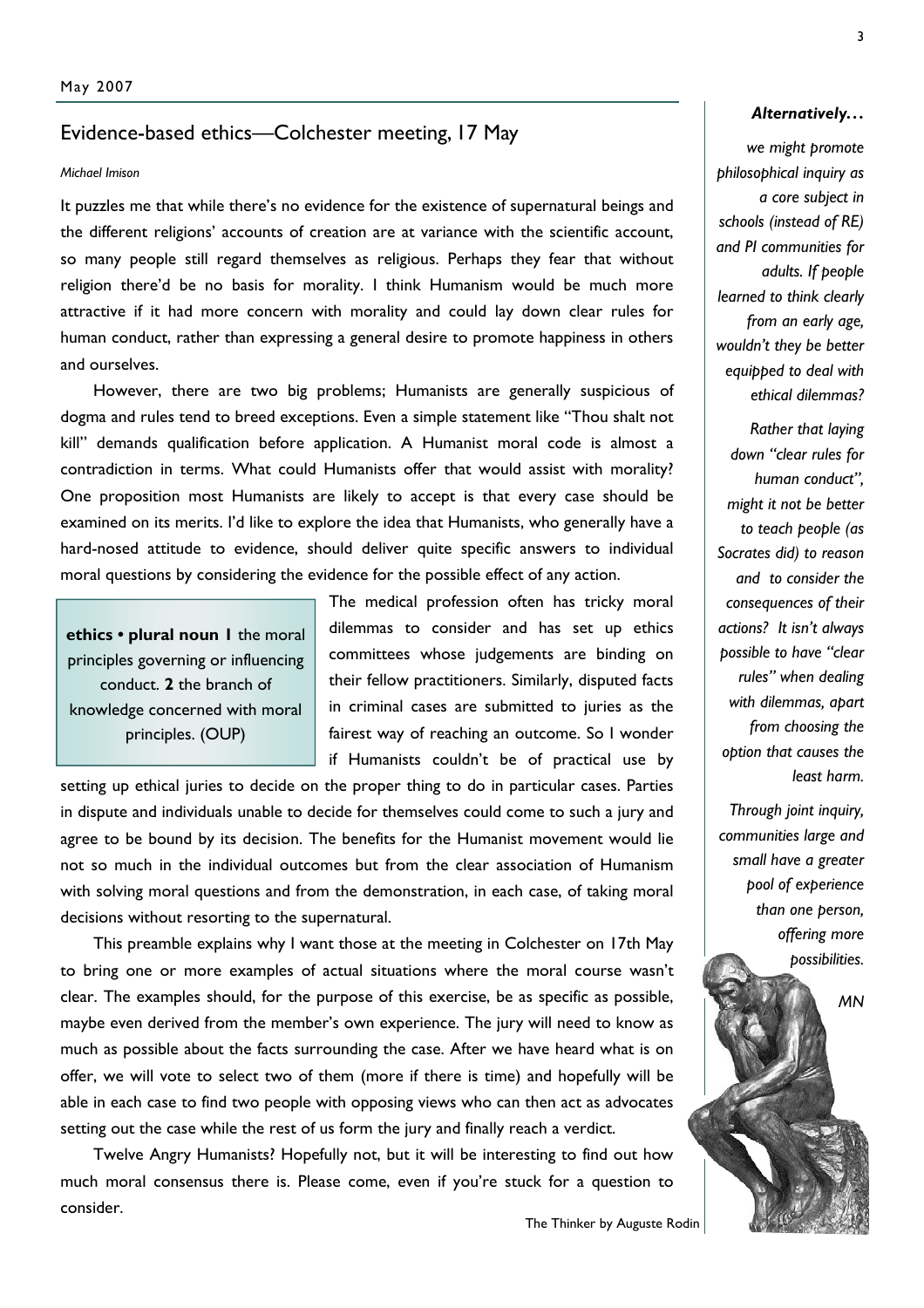#### Evidence-based ethics—Colchester meeting, 17 May

#### *Michael Imison*

It puzzles me that while there's no evidence for the existence of supernatural beings and the different religions' accounts of creation are at variance with the scientific account, so many people still regard themselves as religious. Perhaps they fear that without religion there'd be no basis for morality. I think Humanism would be much more attractive if it had more concern with morality and could lay down clear rules for human conduct, rather than expressing a general desire to promote happiness in others and ourselves.

 However, there are two big problems; Humanists are generally suspicious of dogma and rules tend to breed exceptions. Even a simple statement like "Thou shalt not kill" demands qualification before application. A Humanist moral code is almost a contradiction in terms. What could Humanists offer that would assist with morality? One proposition most Humanists are likely to accept is that every case should be examined on its merits. I'd like to explore the idea that Humanists, who generally have a hard-nosed attitude to evidence, should deliver quite specific answers to individual moral questions by considering the evidence for the possible effect of any action.

**ethics • plural noun 1** the moral principles governing or influencing conduct. **2** the branch of knowledge concerned with moral principles. (OUP)

The medical profession often has tricky moral dilemmas to consider and has set up ethics committees whose judgements are binding on their fellow practitioners. Similarly, disputed facts in criminal cases are submitted to juries as the fairest way of reaching an outcome. So I wonder if Humanists couldn't be of practical use by

setting up ethical juries to decide on the proper thing to do in particular cases. Parties in dispute and individuals unable to decide for themselves could come to such a jury and agree to be bound by its decision. The benefits for the Humanist movement would lie not so much in the individual outcomes but from the clear association of Humanism with solving moral questions and from the demonstration, in each case, of taking moral decisions without resorting to the supernatural.

This preamble explains why I want those at the meeting in Colchester on 17th May to bring one or more examples of actual situations where the moral course wasn't clear. The examples should, for the purpose of this exercise, be as specific as possible, maybe even derived from the member's own experience. The jury will need to know as much as possible about the facts surrounding the case. After we have heard what is on offer, we will vote to select two of them (more if there is time) and hopefully will be able in each case to find two people with opposing views who can then act as advocates setting out the case while the rest of us form the jury and finally reach a verdict.

 Twelve Angry Humanists? Hopefully not, but it will be interesting to find out how much moral consensus there is. Please come, even if you're stuck for a question to consider.

The Thinker by Auguste Rodin

*we might promote philosophical inquiry as a core subject in schools (instead of RE) and PI communities for adults. If people learned to think clearly from an early age, wouldn't they be better equipped to deal with ethical dilemmas?* 

*Rather that laying down "clear rules for human conduct", might it not be better to teach people (as Socrates did) to reason and to consider the consequences of their actions? It isn't always possible to have "clear rules" when dealing with dilemmas, apart from choosing the option that causes the least harm.* 

*Through joint inquiry, communities large and small have a greater pool of experience than one person, offering more possibilities.*